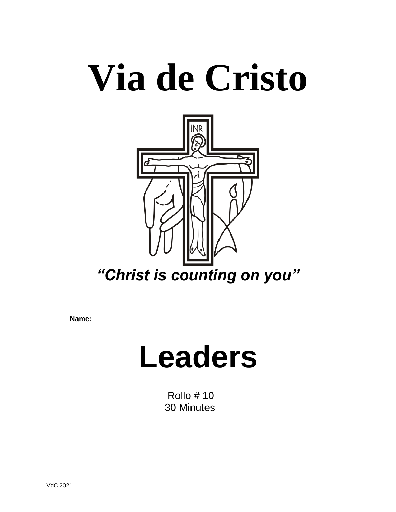# **Via de Cristo**



**Name: \_\_\_\_\_\_\_\_\_\_\_\_\_\_\_\_\_\_\_\_\_\_\_\_\_\_\_\_\_\_\_\_\_\_\_\_\_\_\_\_\_\_\_\_\_\_\_\_\_\_\_\_\_\_\_\_\_\_**

## **Leaders**

 Rollo # 10 30 Minutes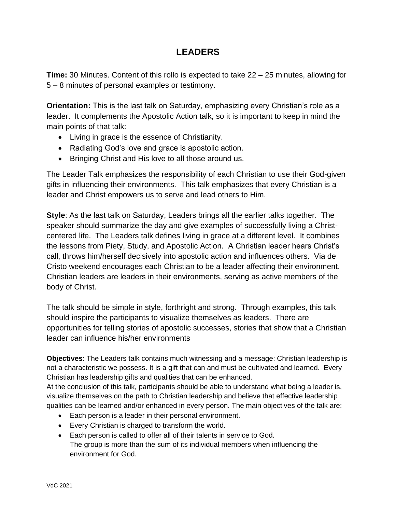### **LEADERS**

**Time:** 30 Minutes. Content of this rollo is expected to take 22 – 25 minutes, allowing for 5 – 8 minutes of personal examples or testimony.

**Orientation:** This is the last talk on Saturday, emphasizing every Christian's role as a leader. It complements the Apostolic Action talk, so it is important to keep in mind the main points of that talk:

- Living in grace is the essence of Christianity.
- Radiating God's love and grace is apostolic action.
- Bringing Christ and His love to all those around us.

The Leader Talk emphasizes the responsibility of each Christian to use their God-given gifts in influencing their environments. This talk emphasizes that every Christian is a leader and Christ empowers us to serve and lead others to Him.

**Style**: As the last talk on Saturday, Leaders brings all the earlier talks together. The speaker should summarize the day and give examples of successfully living a Christcentered life. The Leaders talk defines living in grace at a different level. It combines the lessons from Piety, Study, and Apostolic Action. A Christian leader hears Christ's call, throws him/herself decisively into apostolic action and influences others. Via de Cristo weekend encourages each Christian to be a leader affecting their environment. Christian leaders are leaders in their environments, serving as active members of the body of Christ.

The talk should be simple in style, forthright and strong. Through examples, this talk should inspire the participants to visualize themselves as leaders. There are opportunities for telling stories of apostolic successes, stories that show that a Christian leader can influence his/her environments

**Objectives**: The Leaders talk contains much witnessing and a message: Christian leadership is not a characteristic we possess. It is a gift that can and must be cultivated and learned. Every Christian has leadership gifts and qualities that can be enhanced.

At the conclusion of this talk, participants should be able to understand what being a leader is, visualize themselves on the path to Christian leadership and believe that effective leadership qualities can be learned and/or enhanced in every person. The main objectives of the talk are:

- Each person is a leader in their personal environment.
- Every Christian is charged to transform the world.
- Each person is called to offer all of their talents in service to God. The group is more than the sum of its individual members when influencing the environment for God.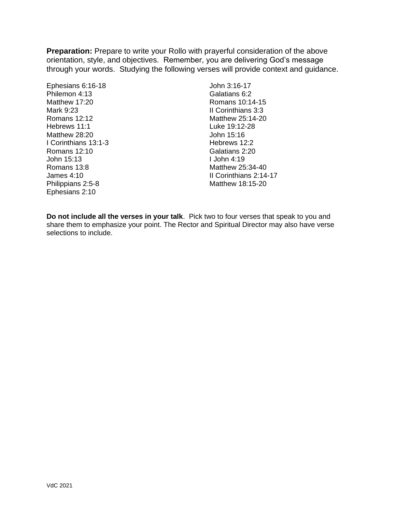**Preparation:** Prepare to write your Rollo with prayerful consideration of the above orientation, style, and objectives. Remember, you are delivering God's message through your words. Studying the following verses will provide context and guidance.

Ephesians 6:16-18 Philemon 4:13 Matthew 17:20 Mark 9:23 Romans 12:12 Hebrews 11:1 Matthew 28:20 I Corinthians 13:1-3 Romans 12:10 John 15:13 Romans 13:8 James 4:10 Philippians 2:5-8 Ephesians 2:10

John 3:16-17 Galatians 6:2 Romans 10:14-15 II Corinthians 3:3 Matthew 25:14-20 Luke 19:12-28 John 15:16 Hebrews 12:2 Galatians 2:20 I John 4:19 Matthew 25:34-40 II Corinthians 2:14-17 Matthew 18:15-20

**Do not include all the verses in your talk**. Pick two to four verses that speak to you and share them to emphasize your point. The Rector and Spiritual Director may also have verse selections to include.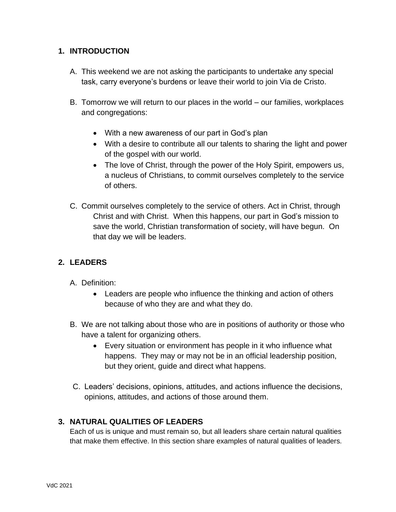#### **1. INTRODUCTION**

- A. This weekend we are not asking the participants to undertake any special task, carry everyone's burdens or leave their world to join Via de Cristo.
- B. Tomorrow we will return to our places in the world our families, workplaces and congregations:
	- With a new awareness of our part in God's plan
	- With a desire to contribute all our talents to sharing the light and power of the gospel with our world.
	- The love of Christ, through the power of the Holy Spirit, empowers us, a nucleus of Christians, to commit ourselves completely to the service of others.
- C. Commit ourselves completely to the service of others. Act in Christ, through Christ and with Christ. When this happens, our part in God's mission to save the world, Christian transformation of society, will have begun. On that day we will be leaders.

#### **2. LEADERS**

- A. Definition:
	- Leaders are people who influence the thinking and action of others because of who they are and what they do.
- B. We are not talking about those who are in positions of authority or those who have a talent for organizing others.
	- Every situation or environment has people in it who influence what happens. They may or may not be in an official leadership position, but they orient, guide and direct what happens.
- C. Leaders' decisions, opinions, attitudes, and actions influence the decisions, opinions, attitudes, and actions of those around them.

#### **3. NATURAL QUALITIES OF LEADERS**

Each of us is unique and must remain so, but all leaders share certain natural qualities that make them effective. In this section share examples of natural qualities of leaders.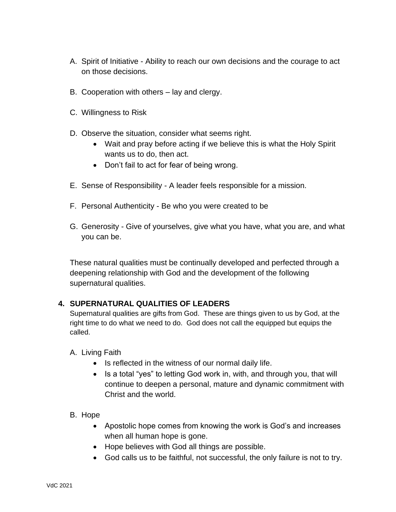- A. Spirit of Initiative Ability to reach our own decisions and the courage to act on those decisions.
- B. Cooperation with others lay and clergy.
- C. Willingness to Risk
- D. Observe the situation, consider what seems right.
	- Wait and pray before acting if we believe this is what the Holy Spirit wants us to do, then act.
	- Don't fail to act for fear of being wrong.
- E. Sense of Responsibility A leader feels responsible for a mission.
- F. Personal Authenticity Be who you were created to be
- G. Generosity Give of yourselves, give what you have, what you are, and what you can be.

These natural qualities must be continually developed and perfected through a deepening relationship with God and the development of the following supernatural qualities.

#### **4. SUPERNATURAL QUALITIES OF LEADERS**

Supernatural qualities are gifts from God. These are things given to us by God, at the right time to do what we need to do. God does not call the equipped but equips the called.

- A. Living Faith
	- Is reflected in the witness of our normal daily life.
	- Is a total "yes" to letting God work in, with, and through you, that will continue to deepen a personal, mature and dynamic commitment with Christ and the world.
- B. Hope
	- Apostolic hope comes from knowing the work is God's and increases when all human hope is gone.
	- Hope believes with God all things are possible.
	- God calls us to be faithful, not successful, the only failure is not to try.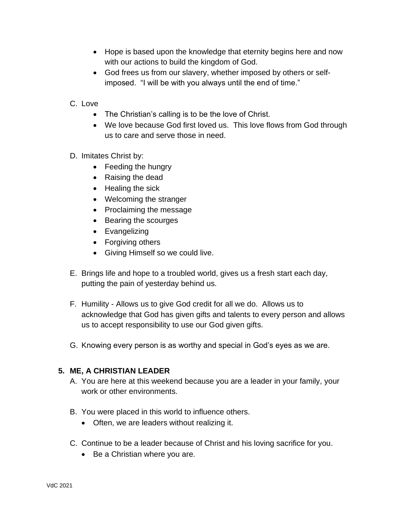- Hope is based upon the knowledge that eternity begins here and now with our actions to build the kingdom of God.
- God frees us from our slavery, whether imposed by others or selfimposed. "I will be with you always until the end of time."
- C. Love
	- The Christian's calling is to be the love of Christ.
	- We love because God first loved us. This love flows from God through us to care and serve those in need.
- D. Imitates Christ by:
	- Feeding the hungry
	- Raising the dead
	- Healing the sick
	- Welcoming the stranger
	- Proclaiming the message
	- Bearing the scourges
	- Evangelizing
	- Forgiving others
	- Giving Himself so we could live.
- E. Brings life and hope to a troubled world, gives us a fresh start each day, putting the pain of yesterday behind us.
- F. Humility Allows us to give God credit for all we do. Allows us to acknowledge that God has given gifts and talents to every person and allows us to accept responsibility to use our God given gifts.
- G. Knowing every person is as worthy and special in God's eyes as we are.

#### **5. ME, A CHRISTIAN LEADER**

- A. You are here at this weekend because you are a leader in your family, your work or other environments.
- B. You were placed in this world to influence others.
	- Often, we are leaders without realizing it.
- C. Continue to be a leader because of Christ and his loving sacrifice for you.
	- Be a Christian where you are.